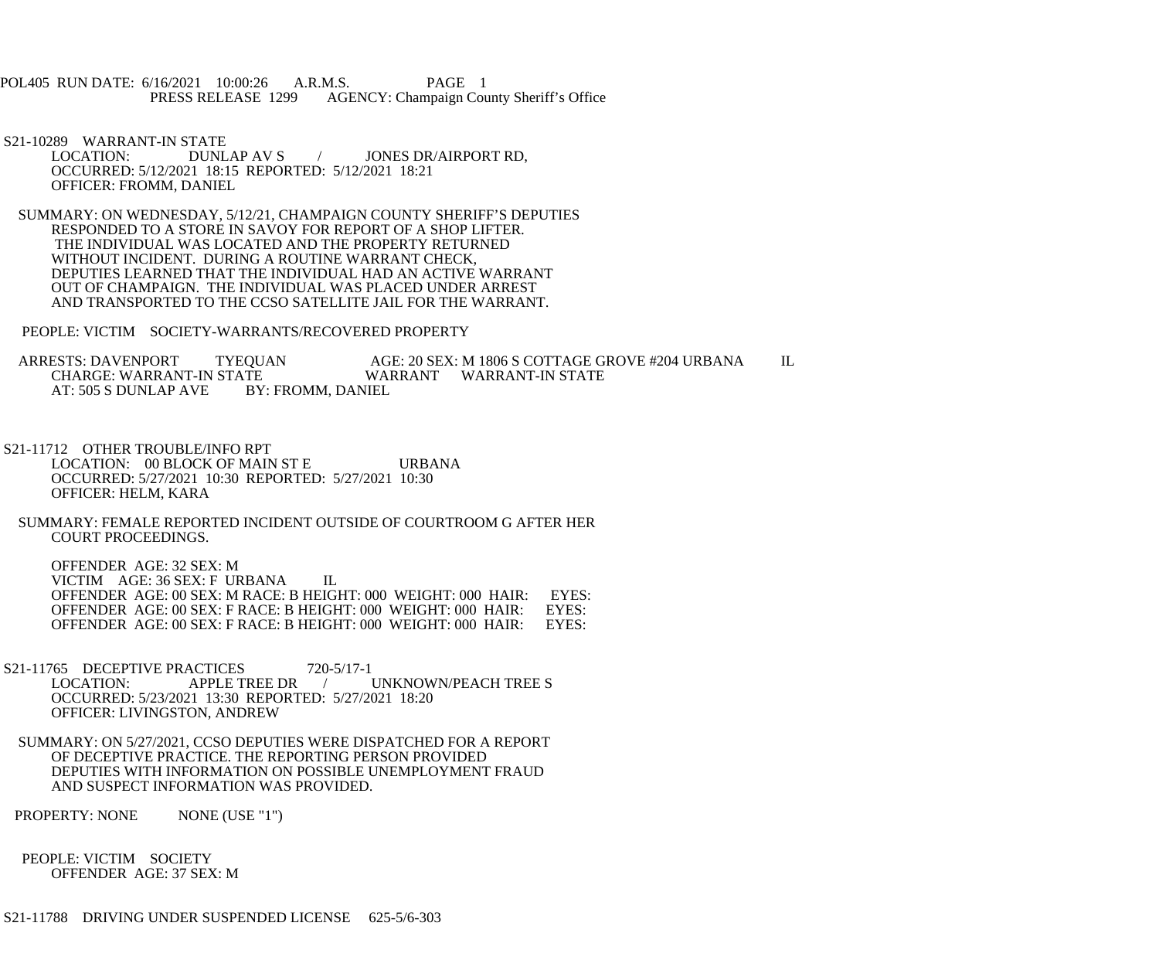POL405 RUN DATE: 6/16/2021 10:00:26 A.R.M.S. PAGE 1<br>PRESS RELEASE 1299 AGENCY: Champaign Cou AGENCY: Champaign County Sheriff's Office

S21-10289 WARRANT-IN STATE<br>LOCATION: DUNL DUNLAP AV S / JONES DR/AIRPORT RD, OCCURRED: 5/12/2021 18:15 REPORTED: 5/12/2021 18:21 OFFICER: FROMM, DANIEL

 SUMMARY: ON WEDNESDAY, 5/12/21, CHAMPAIGN COUNTY SHERIFF'S DEPUTIES RESPONDED TO A STORE IN SAVOY FOR REPORT OF A SHOP LIFTER. THE INDIVIDUAL WAS LOCATED AND THE PROPERTY RETURNED WITHOUT INCIDENT. DURING A ROUTINE WARRANT CHECK, DEPUTIES LEARNED THAT THE INDIVIDUAL HAD AN ACTIVE WARRANT OUT OF CHAMPAIGN. THE INDIVIDUAL WAS PLACED UNDER ARREST AND TRANSPORTED TO THE CCSO SATELLITE JAIL FOR THE WARRANT.

PEOPLE: VICTIM SOCIETY-WARRANTS/RECOVERED PROPERTY

ARRESTS: DAVENPORT TYEQUAN AGE: 20 SEX: M 1806 S COTTAGE GROVE #204 URBANA IL<br>CHARGE: WARRANT-IN STATE WARRANT WARRANT-IN STATE TE WARRANT WARRANT-IN STATE<br>BY: FROMM. DANIEL AT: 505 S DUNLAP AVE

 S21-11712 OTHER TROUBLE/INFO RPT LOCATION: 00 BLOCK OF MAIN ST E URBANA OCCURRED: 5/27/2021 10:30 REPORTED: 5/27/2021 10:30 OFFICER: HELM, KARA

 SUMMARY: FEMALE REPORTED INCIDENT OUTSIDE OF COURTROOM G AFTER HER COURT PROCEEDINGS.

 OFFENDER AGE: 32 SEX: M VICTIM AGE: 36 SEX: F URBANA IL OFFENDER AGE: 00 SEX: M RACE: B HEIGHT: 000 WEIGHT: 000 HAIR: EYES: OFFENDER AGE: 00 SEX: F RACE: B HEIGHT: 000 WEIGHT: 000 HAIR: OFFENDER AGE: 00 SEX: F RACE: B HEIGHT: 000 WEIGHT: 000 HAIR: EYES:

S21-11765 DECEPTIVE PRACTICES 720-5/17-1<br>LOCATION: APPLE TREE DR / UNKNOWN/PEACH TREE S OCCURRED: 5/23/2021 13:30 REPORTED: 5/27/2021 18:20 OFFICER: LIVINGSTON, ANDREW

 SUMMARY: ON 5/27/2021, CCSO DEPUTIES WERE DISPATCHED FOR A REPORT OF DECEPTIVE PRACTICE. THE REPORTING PERSON PROVIDED DEPUTIES WITH INFORMATION ON POSSIBLE UNEMPLOYMENT FRAUD AND SUSPECT INFORMATION WAS PROVIDED.

PROPERTY: NONE NONE (USE "1")

 PEOPLE: VICTIM SOCIETY OFFENDER AGE: 37 SEX: M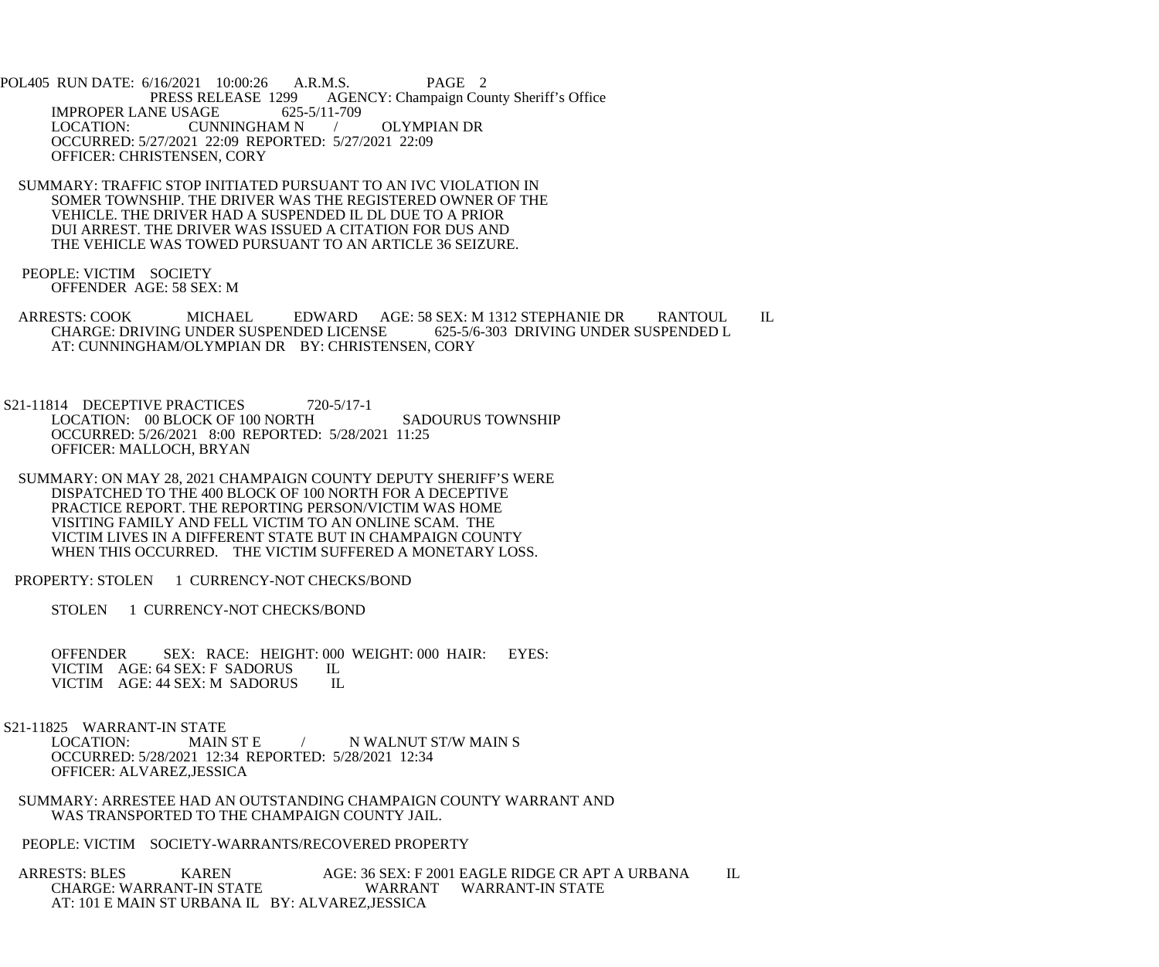POL405 RUN DATE: 6/16/2021 10:00:26 A.R.M.S. PAGE 2 AGENCY: Champaign County Sheriff's Office IMPROPER LANE USAGE 625-5/11-709<br>LOCATION: CUNNINGHAM N CUNNINGHAM N / OLYMPIAN DR OCCURRED: 5/27/2021 22:09 REPORTED: 5/27/2021 22:09 OFFICER: CHRISTENSEN, CORY

- SUMMARY: TRAFFIC STOP INITIATED PURSUANT TO AN IVC VIOLATION IN SOMER TOWNSHIP. THE DRIVER WAS THE REGISTERED OWNER OF THE VEHICLE. THE DRIVER HAD A SUSPENDED IL DL DUE TO A PRIOR DUI ARREST. THE DRIVER WAS ISSUED A CITATION FOR DUS AND THE VEHICLE WAS TOWED PURSUANT TO AN ARTICLE 36 SEIZURE.
- PEOPLE: VICTIM SOCIETY OFFENDER AGE: 58 SEX: M
- ARRESTS: COOK MICHAEL EDWARD AGE: 58 SEX: M 1312 STEPHANIE DR RANTOUL IL CHARGE: DRIVING UNDER SUSPENDED LICENSE 625-5/6-303 DRIVING UNDER SUSPENDED L AT: CUNNINGHAM/OLYMPIAN DR BY: CHRISTENSEN, CORY

S21-11814 DECEPTIVE PRACTICES 720-5/17-1 LOCATION: 00 BLOCK OF 100 NORTH SADOURUS TOWNSHIP OCCURRED: 5/26/2021 8:00 REPORTED: 5/28/2021 11:25 OFFICER: MALLOCH, BRYAN

- SUMMARY: ON MAY 28, 2021 CHAMPAIGN COUNTY DEPUTY SHERIFF'S WERE DISPATCHED TO THE 400 BLOCK OF 100 NORTH FOR A DECEPTIVE PRACTICE REPORT. THE REPORTING PERSON/VICTIM WAS HOME VISITING FAMILY AND FELL VICTIM TO AN ONLINE SCAM. THE VICTIM LIVES IN A DIFFERENT STATE BUT IN CHAMPAIGN COUNTY WHEN THIS OCCURRED. THE VICTIM SUFFERED A MONETARY LOSS.
- PROPERTY: STOLEN 1 CURRENCY-NOT CHECKS/BOND

STOLEN 1 CURRENCY-NOT CHECKS/BOND

 OFFENDER SEX: RACE: HEIGHT: 000 WEIGHT: 000 HAIR: EYES: VICTIM AGE: 64 SEX: F SADORUS IL<br>VICTIM AGE: 44 SEX: M SADORUS IL VICTIM AGE: 44 SEX: M SADORUS

S21-11825 WARRANT-IN STATE<br>LOCATION: MAIN ST E

/ N WALNUT ST/W MAIN S OCCURRED: 5/28/2021 12:34 REPORTED: 5/28/2021 12:34 OFFICER: ALVAREZ,JESSICA

- SUMMARY: ARRESTEE HAD AN OUTSTANDING CHAMPAIGN COUNTY WARRANT AND WAS TRANSPORTED TO THE CHAMPAIGN COUNTY JAIL.
- PEOPLE: VICTIM SOCIETY-WARRANTS/RECOVERED PROPERTY

ARRESTS: BLES KAREN AGE: 36 SEX: F 2001 EAGLE RIDGE CR APT A URBANA IL CHARGE: WARRANT-IN STATE WARRANT WARRANT-IN STATE WARRANT WARRANT-IN STATE AT: 101 E MAIN ST URBANA IL BY: ALVAREZ,JESSICA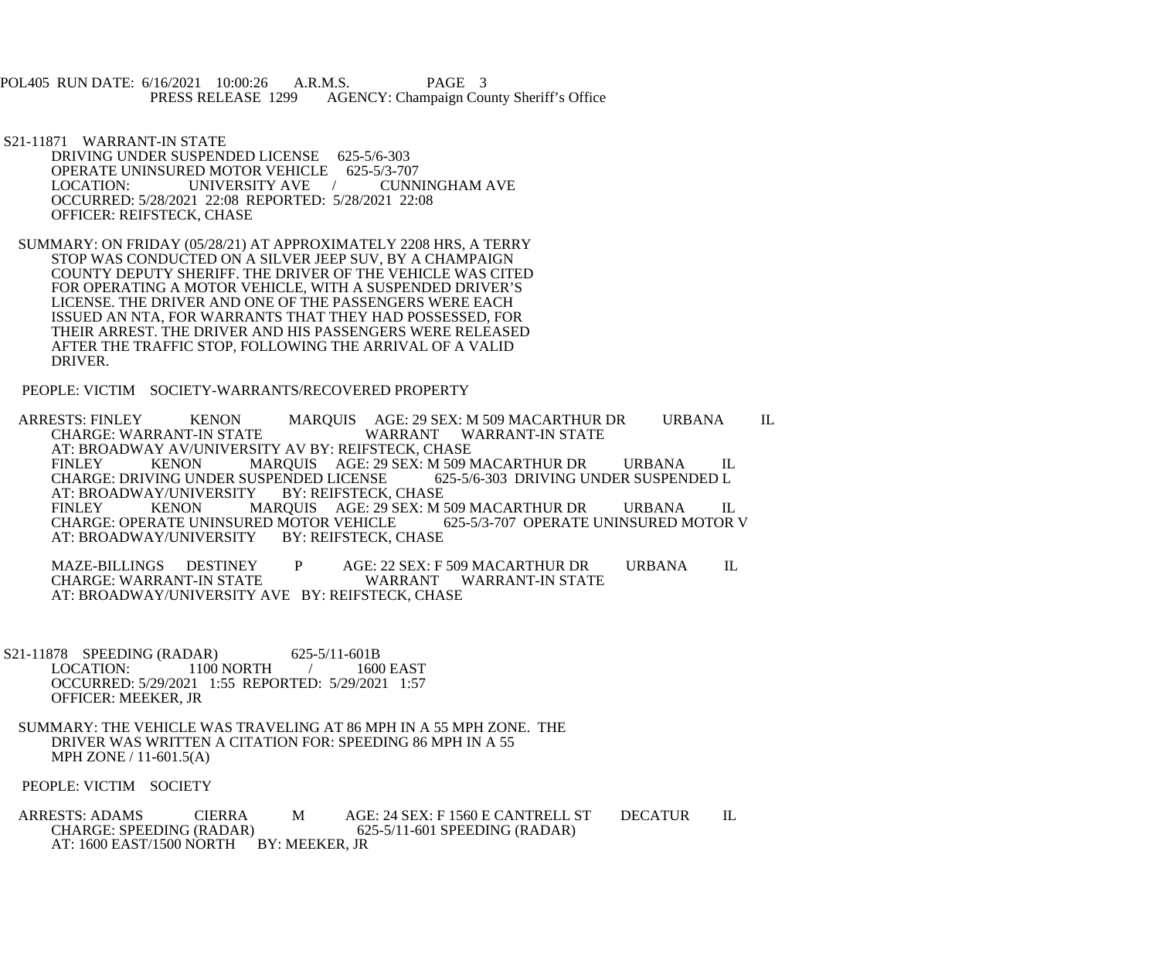POL405 RUN DATE: 6/16/2021 10:00:26 A.R.M.S. PAGE 3<br>PRESS RELEASE 1299 AGENCY: Champaign Cou AGENCY: Champaign County Sheriff's Office

- S21-11871 WARRANT-IN STATE DRIVING UNDER SUSPENDED LICENSE 625-5/6-303 OPERATE UNINSURED MOTOR VEHICLE 625-5/3-707<br>LOCATION: UNIVERSITY AVE / CUNNINGHAM AVE LOCATION: UNIVERSITY AVE OCCURRED: 5/28/2021 22:08 REPORTED: 5/28/2021 22:08 OFFICER: REIFSTECK, CHASE
- SUMMARY: ON FRIDAY (05/28/21) AT APPROXIMATELY 2208 HRS, A TERRY STOP WAS CONDUCTED ON A SILVER JEEP SUV, BY A CHAMPAIGN COUNTY DEPUTY SHERIFF. THE DRIVER OF THE VEHICLE WAS CITED FOR OPERATING A MOTOR VEHICLE, WITH A SUSPENDED DRIVER'S LICENSE. THE DRIVER AND ONE OF THE PASSENGERS WERE EACH ISSUED AN NTA, FOR WARRANTS THAT THEY HAD POSSESSED, FOR THEIR ARREST. THE DRIVER AND HIS PASSENGERS WERE RELEASED AFTER THE TRAFFIC STOP, FOLLOWING THE ARRIVAL OF A VALID DRIVER.

PEOPLE: VICTIM SOCIETY-WARRANTS/RECOVERED PROPERTY

 ARRESTS: FINLEY KENON MARQUIS AGE: 29 SEX: M 509 MACARTHUR DR URBANA IL WARRANT WARRANT-IN STATE AT: BROADWAY AV/UNIVERSITY AV BY: REIFSTECK, CHASE<br>FINLEY KENON MAROUIS AGE: 29 SEX: M 509 N MARQUIS AGE: 29 SEX: M 509 MACARTHUR DR URBANA IL<br>USPENDED LICENSE 625-5/6-303 DRIVING UNDER SUSPENDED L CHARGE: DRIVING UNDER SUSPENDED LICENSE 62<br>AT: BROADWAY/UNIVERSITY BY: REIFSTECK, CHASE AT: BROADWAY/UNIVERSITY<br>FINLEY KENON MA FINLEY KENON MARQUIS AGE: 29 SEX: M 509 MACARTHUR DR URBANA IL CHARGE: OPERATE UNINSURED MOTOR V CHARGE: OPERATE UNINSURED MOTOR VEHICLE 645-5.<br>AT: BROADWAY/UNIVERSITY BY: REIFSTECK, CHASE AT: BROADWAY/UNIVERSITY

MAZE-BILLINGS DESTINEY P AGE: 22 SEX: F 509 MACARTHUR DR URBANA IL<br>CHARGE: WARRANT-IN STATE WARRANT WARRANT-IN STATE WARRANT WARRANT-IN STATE AT: BROADWAY/UNIVERSITY AVE BY: REIFSTECK, CHASE

- S21-11878 SPEEDING (RADAR) 625-5/11-601B<br>LOCATION: 1100 NORTH 1600 1100 NORTH / 1600 EAST OCCURRED: 5/29/2021 1:55 REPORTED: 5/29/2021 1:57 OFFICER: MEEKER, JR
- SUMMARY: THE VEHICLE WAS TRAVELING AT 86 MPH IN A 55 MPH ZONE. THE DRIVER WAS WRITTEN A CITATION FOR: SPEEDING 86 MPH IN A 55 MPH ZONE / 11-601.5(A)

PEOPLE: VICTIM SOCIETY

ARRESTS: ADAMS CIERRA M AGE: 24 SEX: F 1560 E CANTRELL ST DECATUR IL<br>CHARGE: SPEEDING (RADAR) 625-5/11-601 SPEEDING (RADAR) 625-5/11-601 SPEEDING (RADAR) AT: 1600 EAST/1500 NORTH BY: MEEKER, JR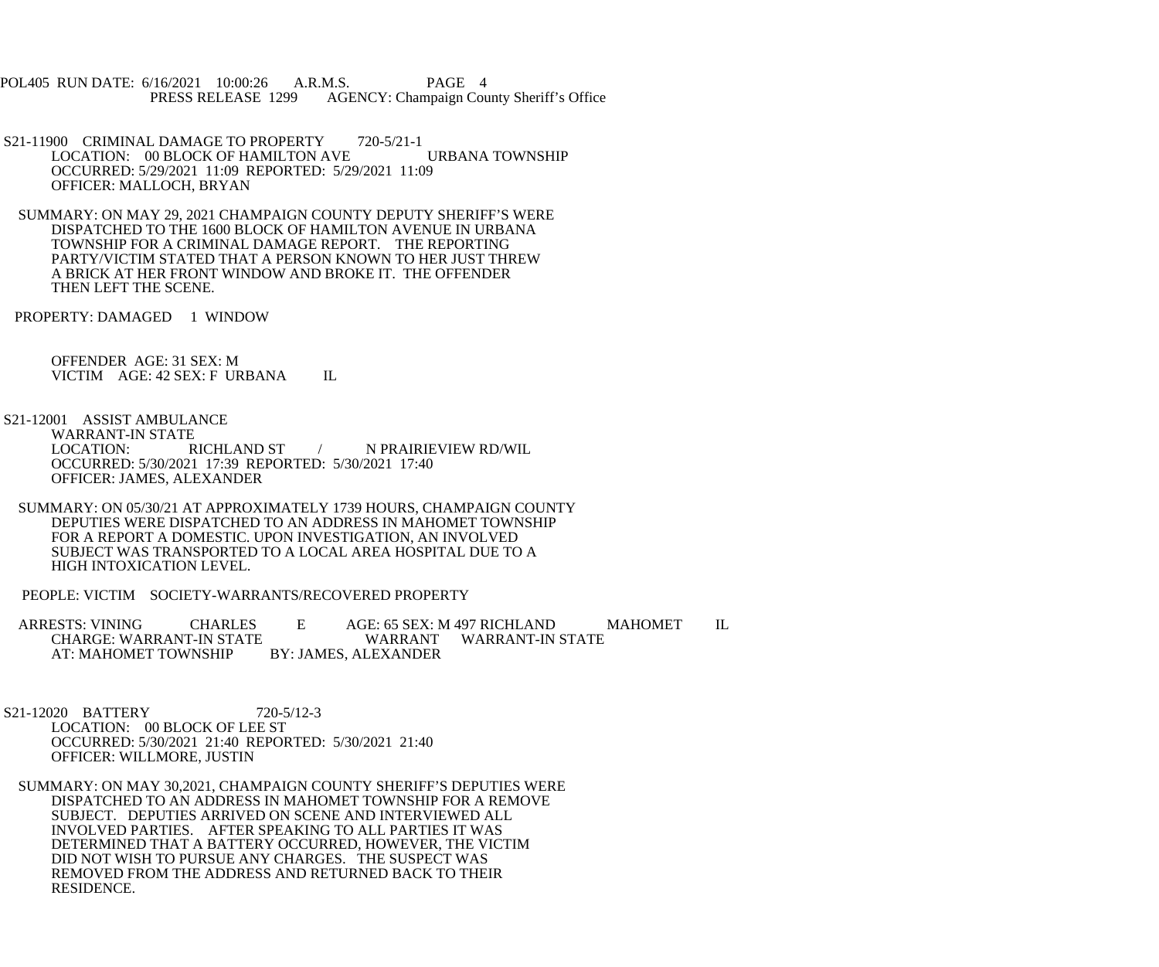POL405 RUN DATE: 6/16/2021 10:00:26 A.R.M.S. PAGE 4<br>PRESS RELEASE 1299 AGENCY: Champaign Cou AGENCY: Champaign County Sheriff's Office

- S21-11900 CRIMINAL DAMAGE TO PROPERTY 720-5/21-1 LOCATION: 00 BLOCK OF HAMILTON AVE URBANA TOWNSHIP OCCURRED: 5/29/2021 11:09 REPORTED: 5/29/2021 11:09 OFFICER: MALLOCH, BRYAN
- SUMMARY: ON MAY 29, 2021 CHAMPAIGN COUNTY DEPUTY SHERIFF'S WERE DISPATCHED TO THE 1600 BLOCK OF HAMILTON AVENUE IN URBANA TOWNSHIP FOR A CRIMINAL DAMAGE REPORT. THE REPORTING PARTY/VICTIM STATED THAT A PERSON KNOWN TO HER JUST THREW A BRICK AT HER FRONT WINDOW AND BROKE IT. THE OFFENDER THEN LEFT THE SCENE.

PROPERTY: DAMAGED 1 WINDOW

 OFFENDER AGE: 31 SEX: M VICTIM AGE: 42 SEX: F URBANA IL

- S21-12001 ASSIST AMBULANCE WARRANT-IN STATE<br>LOCATION: RICHLAND ST / N PRAIRIEVIEW RD/WIL OCCURRED: 5/30/2021 17:39 REPORTED: 5/30/2021 17:40 OFFICER: JAMES, ALEXANDER
- SUMMARY: ON 05/30/21 AT APPROXIMATELY 1739 HOURS, CHAMPAIGN COUNTY DEPUTIES WERE DISPATCHED TO AN ADDRESS IN MAHOMET TOWNSHIP FOR A REPORT A DOMESTIC. UPON INVESTIGATION, AN INVOLVED SUBJECT WAS TRANSPORTED TO A LOCAL AREA HOSPITAL DUE TO A HIGH INTOXICATION LEVEL.
- PEOPLE: VICTIM SOCIETY-WARRANTS/RECOVERED PROPERTY

ARRESTS: VINING CHARLES E AGE: 65 SEX: M 497 RICHLAND MAHOMET IL CHARGE: WARRANT-IN STATE CHARGE: WARRANT-IN STATE WARRANT<br>AT: MAHOMET TOWNSHIP BY: JAMES, ALEXANDER AT: MAHOMET TOWNSHIP

 S21-12020 BATTERY 720-5/12-3 LOCATION: 00 BLOCK OF LEE ST OCCURRED: 5/30/2021 21:40 REPORTED: 5/30/2021 21:40 OFFICER: WILLMORE, JUSTIN

 SUMMARY: ON MAY 30,2021, CHAMPAIGN COUNTY SHERIFF'S DEPUTIES WERE DISPATCHED TO AN ADDRESS IN MAHOMET TOWNSHIP FOR A REMOVE SUBJECT. DEPUTIES ARRIVED ON SCENE AND INTERVIEWED ALL INVOLVED PARTIES. AFTER SPEAKING TO ALL PARTIES IT WAS DETERMINED THAT A BATTERY OCCURRED, HOWEVER, THE VICTIM DID NOT WISH TO PURSUE ANY CHARGES. THE SUSPECT WAS REMOVED FROM THE ADDRESS AND RETURNED BACK TO THEIR RESIDENCE.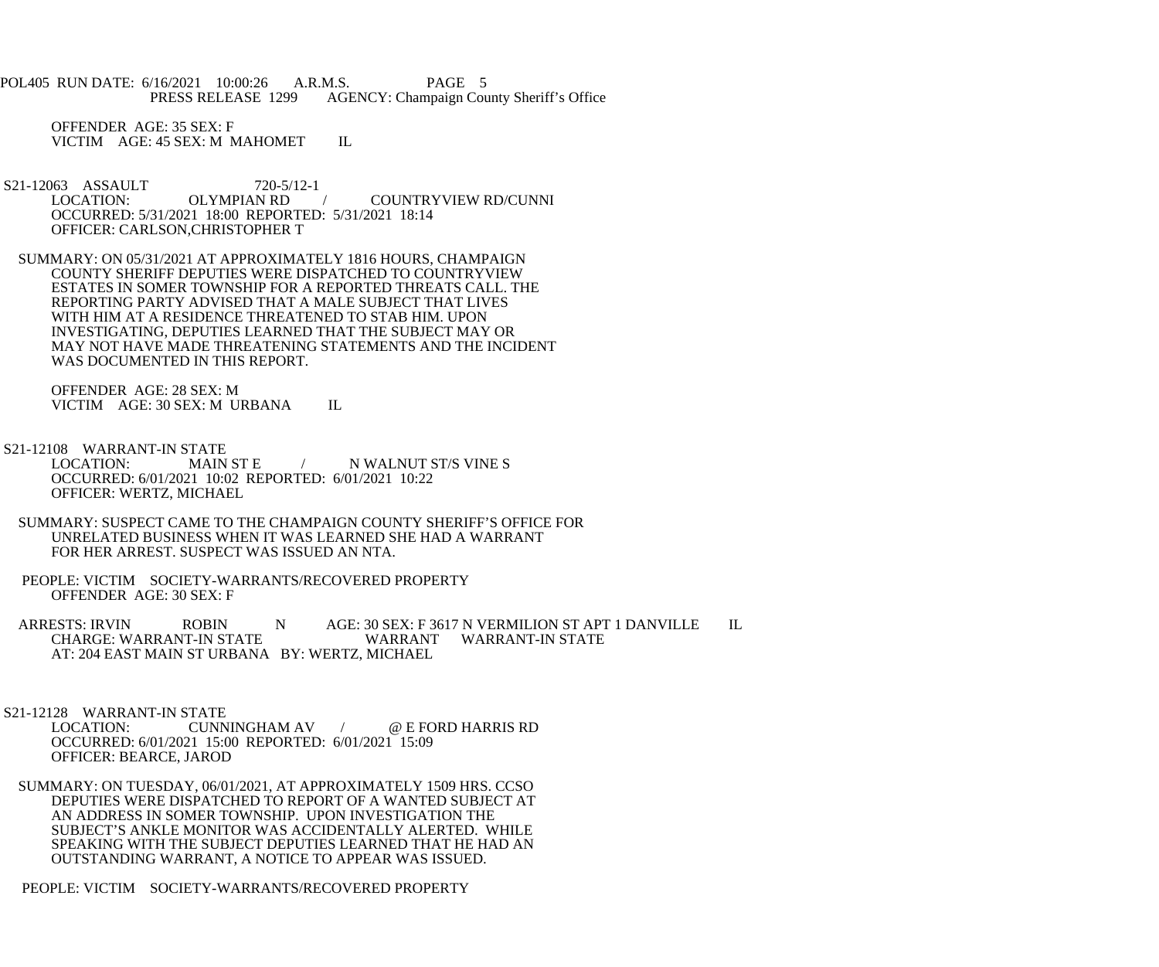POL405 RUN DATE: 6/16/2021 10:00:26 A.R.M.S. PAGE 5<br>PRESS RELEASE 1299 AGENCY: Champaign Cou AGENCY: Champaign County Sheriff's Office

 OFFENDER AGE: 35 SEX: F VICTIM AGE: 45 SEX: M MAHOMET IL

- S21-12063 ASSAULT 720-5/12-1<br>LOCATION: OLYMPIAN RD / COUNTRYVIEW RD/CUNNI OCCURRED: 5/31/2021 18:00 REPORTED: 5/31/2021 18:14 OFFICER: CARLSON,CHRISTOPHER T
- SUMMARY: ON 05/31/2021 AT APPROXIMATELY 1816 HOURS, CHAMPAIGN COUNTY SHERIFF DEPUTIES WERE DISPATCHED TO COUNTRYVIEW ESTATES IN SOMER TOWNSHIP FOR A REPORTED THREATS CALL. THE REPORTING PARTY ADVISED THAT A MALE SUBJECT THAT LIVES WITH HIM AT A RESIDENCE THREATENED TO STAB HIM. UPON INVESTIGATING, DEPUTIES LEARNED THAT THE SUBJECT MAY OR MAY NOT HAVE MADE THREATENING STATEMENTS AND THE INCIDENT WAS DOCUMENTED IN THIS REPORT.

 OFFENDER AGE: 28 SEX: M VICTIM AGE: 30 SEX: M URBANA IL

- S21-12108 WARRANT-IN STATE<br>LOCATION: MAIN ST E / N WALNUT ST/S VINE S OCCURRED: 6/01/2021 10:02 REPORTED: 6/01/2021 10:22 OFFICER: WERTZ, MICHAEL
	- SUMMARY: SUSPECT CAME TO THE CHAMPAIGN COUNTY SHERIFF'S OFFICE FOR UNRELATED BUSINESS WHEN IT WAS LEARNED SHE HAD A WARRANT FOR HER ARREST. SUSPECT WAS ISSUED AN NTA.
- PEOPLE: VICTIM SOCIETY-WARRANTS/RECOVERED PROPERTY OFFENDER AGE: 30 SEX: F
- ARRESTS: IRVIN ROBIN N AGE: 30 SEX: F 3617 N VERMILION ST APT 1 DANVILLE IL CHARGE: WARRANT-IN STATE WARRANT WARRANT-IN STATE AT: 204 EAST MAIN ST URBANA BY: WERTZ, MICHAEL

S21-12128 WARRANT-IN STATE<br>LOCATION: CUNN CUNNINGHAM AV / @ E FORD HARRIS RD OCCURRED: 6/01/2021 15:00 REPORTED: 6/01/2021 15:09 OFFICER: BEARCE, JAROD

 SUMMARY: ON TUESDAY, 06/01/2021, AT APPROXIMATELY 1509 HRS. CCSO DEPUTIES WERE DISPATCHED TO REPORT OF A WANTED SUBJECT AT AN ADDRESS IN SOMER TOWNSHIP. UPON INVESTIGATION THE SUBJECT'S ANKLE MONITOR WAS ACCIDENTALLY ALERTED. WHILE SPEAKING WITH THE SUBJECT DEPUTIES LEARNED THAT HE HAD AN OUTSTANDING WARRANT, A NOTICE TO APPEAR WAS ISSUED.

PEOPLE: VICTIM SOCIETY-WARRANTS/RECOVERED PROPERTY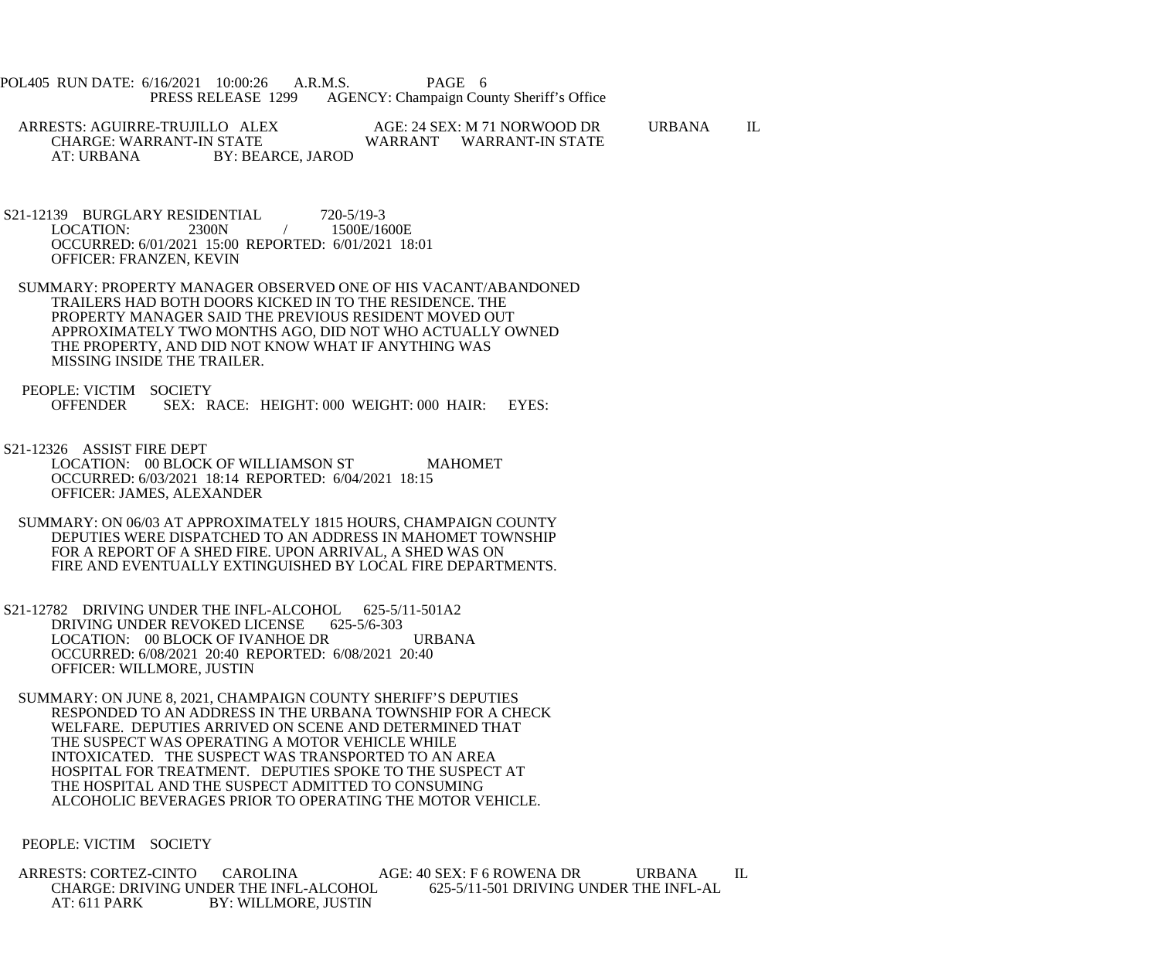POL405 RUN DATE: 6/16/2021 10:00:26 A.R.M.S. PAGE 6<br>PRESS RELEASE 1299 AGENCY: Champaign Cou AGENCY: Champaign County Sheriff's Office

 ARRESTS: AGUIRRE-TRUJILLO ALEX AGE: 24 SEX: M 71 NORWOOD DR URBANA IL CHARGE: WARRANT-IN STATE WARRANT WARRANT-IN STATE<br>AT: URBANA BY: BEARCE. JAROD BY: BEARCE, JAROD

S21-12139 BURGLARY RESIDENTIAL 720-5/19-3<br>LOCATION: 2300N / 1500E/16 1500E/1600E OCCURRED: 6/01/2021 15:00 REPORTED: 6/01/2021 18:01 OFFICER: FRANZEN, KEVIN

 SUMMARY: PROPERTY MANAGER OBSERVED ONE OF HIS VACANT/ABANDONED TRAILERS HAD BOTH DOORS KICKED IN TO THE RESIDENCE. THE PROPERTY MANAGER SAID THE PREVIOUS RESIDENT MOVED OUT APPROXIMATELY TWO MONTHS AGO, DID NOT WHO ACTUALLY OWNED THE PROPERTY, AND DID NOT KNOW WHAT IF ANYTHING WAS MISSING INSIDE THE TRAILER.

PEOPLE: VICTIM SOCIETY<br>OFFENDER SEX: R SEX: RACE: HEIGHT: 000 WEIGHT: 000 HAIR: EYES:

 S21-12326 ASSIST FIRE DEPT LOCATION: 00 BLOCK OF WILLIAMSON ST MAHOMET OCCURRED: 6/03/2021 18:14 REPORTED: 6/04/2021 18:15 OFFICER: JAMES, ALEXANDER

- SUMMARY: ON 06/03 AT APPROXIMATELY 1815 HOURS, CHAMPAIGN COUNTY DEPUTIES WERE DISPATCHED TO AN ADDRESS IN MAHOMET TOWNSHIP FOR A REPORT OF A SHED FIRE. UPON ARRIVAL, A SHED WAS ON FIRE AND EVENTUALLY EXTINGUISHED BY LOCAL FIRE DEPARTMENTS.
- S21-12782 DRIVING UNDER THE INFL-ALCOHOL 625-5/11-501A2 DRIVING UNDER REVOKED LICENSE 625-5/6-303 LOCATION: 00 BLOCK OF IVANHOE DR URBANA OCCURRED: 6/08/2021 20:40 REPORTED: 6/08/2021 20:40 OFFICER: WILLMORE, JUSTIN

 SUMMARY: ON JUNE 8, 2021, CHAMPAIGN COUNTY SHERIFF'S DEPUTIES RESPONDED TO AN ADDRESS IN THE URBANA TOWNSHIP FOR A CHECK WELFARE. DEPUTIES ARRIVED ON SCENE AND DETERMINED THAT THE SUSPECT WAS OPERATING A MOTOR VEHICLE WHILE INTOXICATED. THE SUSPECT WAS TRANSPORTED TO AN AREA HOSPITAL FOR TREATMENT. DEPUTIES SPOKE TO THE SUSPECT AT THE HOSPITAL AND THE SUSPECT ADMITTED TO CONSUMING ALCOHOLIC BEVERAGES PRIOR TO OPERATING THE MOTOR VEHICLE.

PEOPLE: VICTIM SOCIETY

ARRESTS: CORTEZ-CINTO CAROLINA AGE: 40 SEX: F 6 ROWENA DR URBANA IL<br>CHARGE: DRIVING UNDER THE INFL-ALCOHOL 625-5/11-501 DRIVING UNDER THE INFL-AL CHARGE: DRIVING UNDER THE INFL-ALCOHOL AT: 611 PARK BY: WILLMORE, JUSTIN